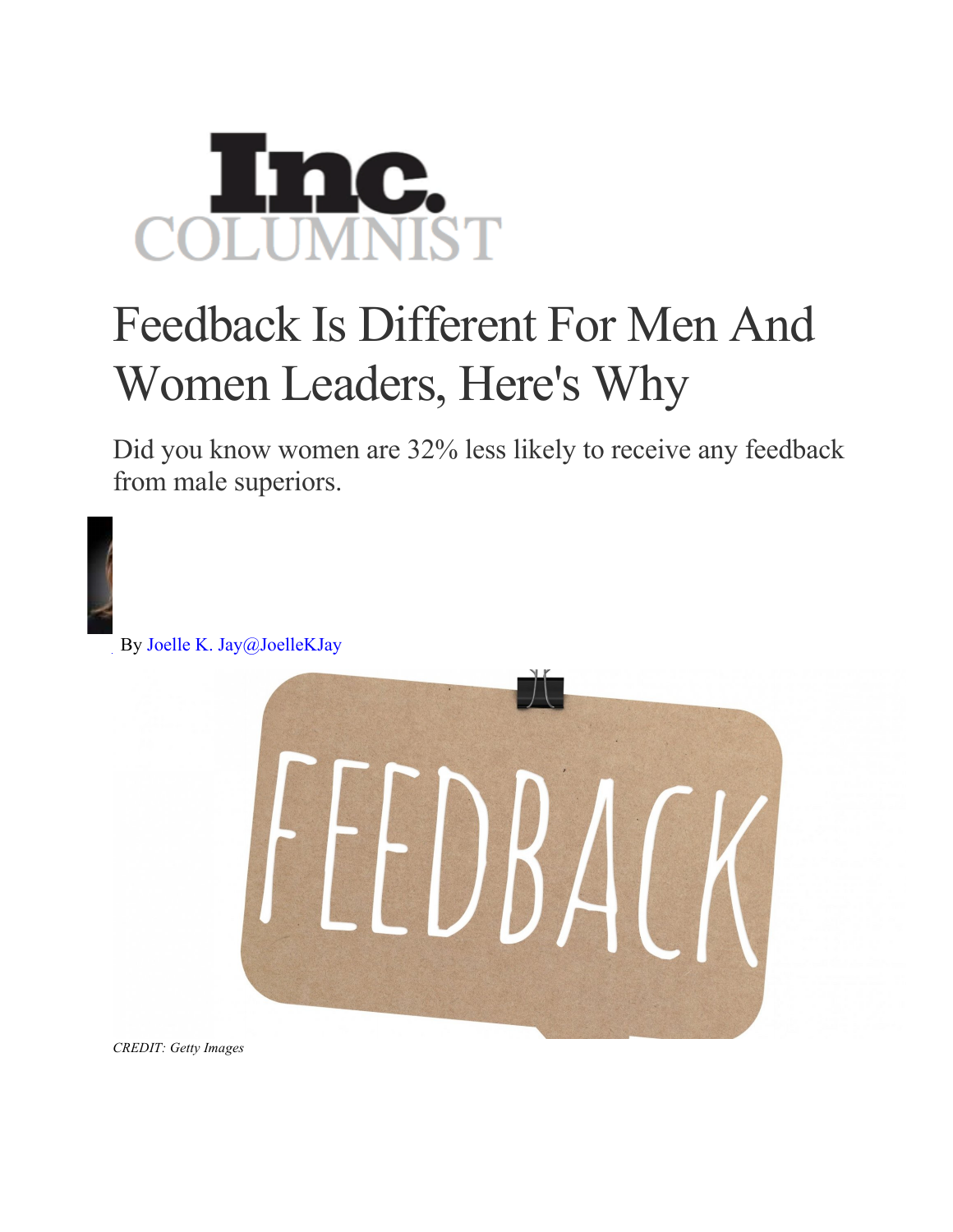## **IC.**<br>INIST

## Feedback Is Different For Men And Women Leaders, Here's Why

Did you know women are 32% less likely to receive any feedback from male superiors.

By Joelle K. Jay@JoelleKJay 

*CREDIT: Getty Images*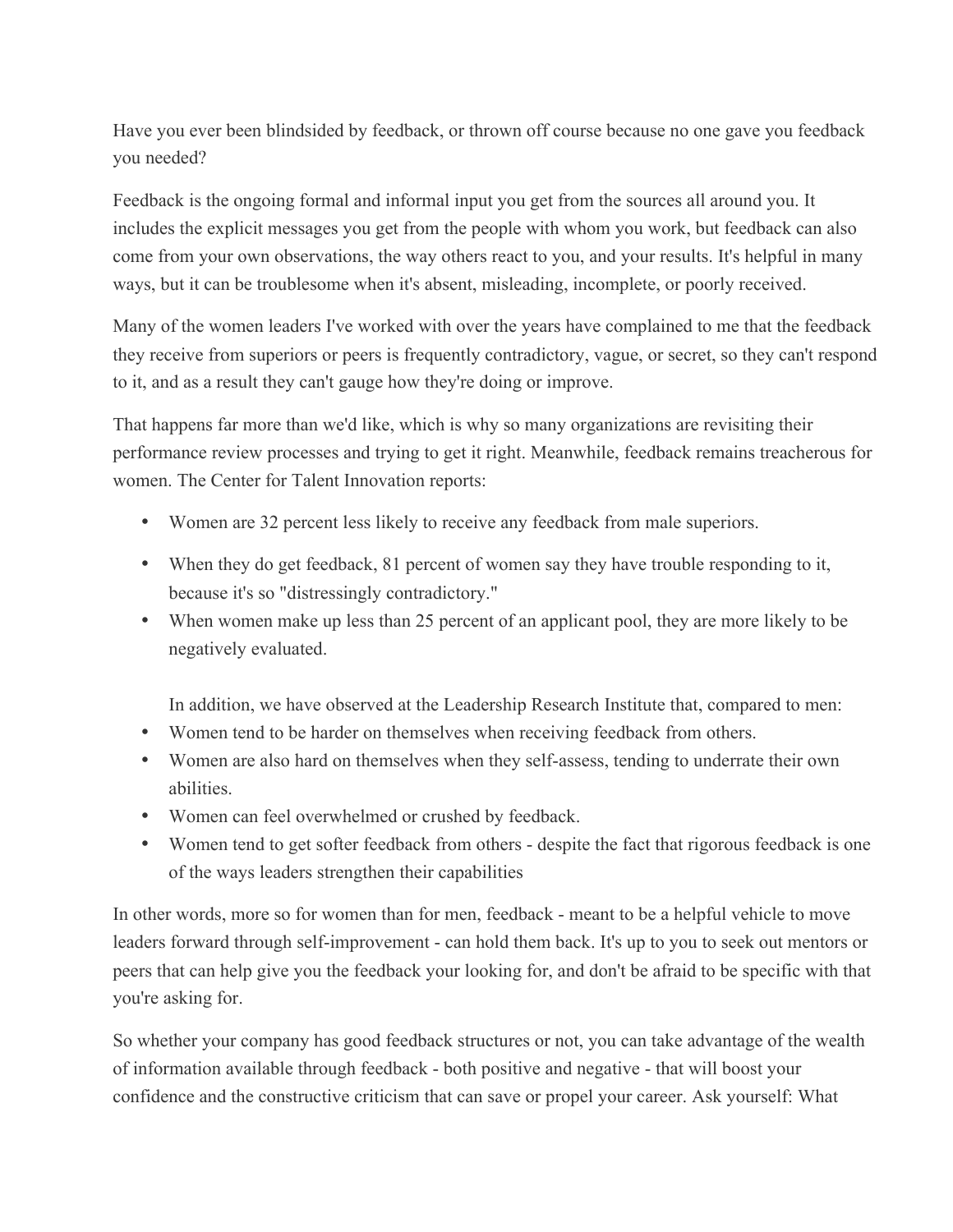Have you ever been blindsided by feedback, or thrown off course because no one gave you feedback you needed?

Feedback is the ongoing formal and informal input you get from the sources all around you. It includes the explicit messages you get from the people with whom you work, but feedback can also come from your own observations, the way others react to you, and your results. It's helpful in many ways, but it can be troublesome when it's absent, misleading, incomplete, or poorly received.

Many of the women leaders I've worked with over the years have complained to me that the feedback they receive from superiors or peers is frequently contradictory, vague, or secret, so they can't respond to it, and as a result they can't gauge how they're doing or improve.

That happens far more than we'd like, which is why so many organizations are revisiting their performance review processes and trying to get it right. Meanwhile, feedback remains treacherous for women. The Center for Talent Innovation reports:

- Women are 32 percent less likely to receive any feedback from male superiors.
- When they do get feedback, 81 percent of women say they have trouble responding to it, because it's so "distressingly contradictory."
- When women make up less than 25 percent of an applicant pool, they are more likely to be negatively evaluated.

In addition, we have observed at the Leadership Research Institute that, compared to men:

- Women tend to be harder on themselves when receiving feedback from others.
- Women are also hard on themselves when they self-assess, tending to underrate their own abilities.
- Women can feel overwhelmed or crushed by feedback.
- Women tend to get softer feedback from others despite the fact that rigorous feedback is one of the ways leaders strengthen their capabilities

In other words, more so for women than for men, feedback - meant to be a helpful vehicle to move leaders forward through self-improvement - can hold them back. It's up to you to seek out mentors or peers that can help give you the feedback your looking for, and don't be afraid to be specific with that you're asking for.

So whether your company has good feedback structures or not, you can take advantage of the wealth of information available through feedback - both positive and negative - that will boost your confidence and the constructive criticism that can save or propel your career. Ask yourself: What